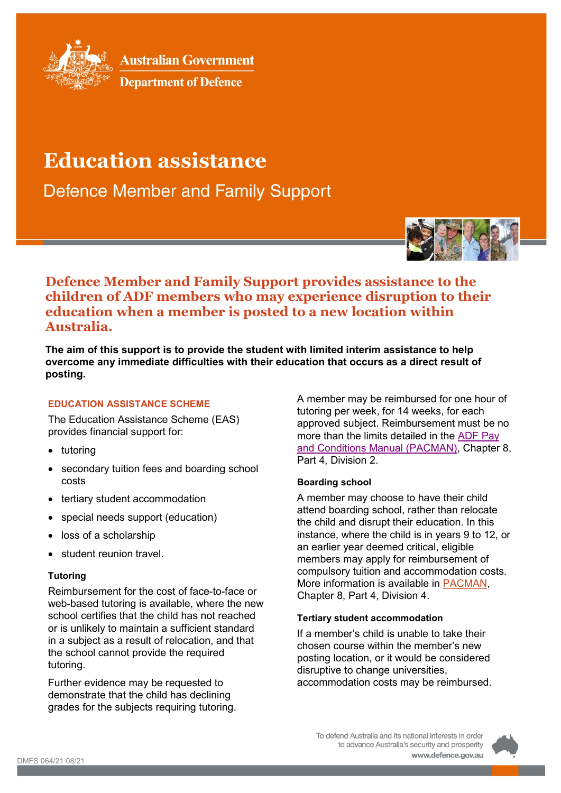

**Australian Government** 

**Department of Defence** 

# **Education assistance**

**Defence Member and Family Support** 



# **Defence Member and Family Support provides assistance to the children of ADF members who may experience disruption to their education when a member is posted to a new location within Australia.**

**The aim of this support is to provide the student with limited interim assistance to help overcome any immediate difficulties with their education that occurs as a direct result of posting.**

# **EDUCATION ASSISTANCE SCHEME**

The Education Assistance Scheme (EAS) provides financial support for:

- tutoring
- secondary tuition fees and boarding school costs
- tertiary student accommodation
- special needs support (education)
- loss of a scholarship
- student reunion travel

# **Tutoring**

Reimbursement for the cost of face-to-face or web-based tutoring is available, where the new school certifies that the child has not reached or is unlikely to maintain a sufficient standard in a subject as a result of relocation, and that the school cannot provide the required tutoring.

Further evidence may be requested to demonstrate that the child has declining grades for the subjects requiring tutoring. A member may be reimbursed for one hour of tutoring per week, for 14 weeks, for each approved subject. Reimbursement must be no more than the limits detailed in the [ADF](https://pay-conditions.defence.gov.au/pacman/chapter-8/part-4/div-2) Pay [and Conditions Manual \(PACMAN\),](https://pay-conditions.defence.gov.au/pacman/chapter-8/part-4/div-2) Chapter 8, Part 4, Division 2.

# **Boarding school**

A member may choose to have their child attend boarding school, rather than relocate the child and disrupt their education. In this instance, where the child is in years 9 to 12, or an earlier year deemed critical, eligible members may apply for reimbursement of compulsory tuition and accommodation costs. More information is available in [PACMAN,](https://pay-conditions.defence.gov.au/pacman/chapter-8/part-4/div-4) Chapter 8, Part 4, Division 4.

# **Tertiary student accommodation**

If a member's child is unable to take their chosen course within the member's new posting location, or it would be considered disruptive to change universities, accommodation costs may be reimbursed.